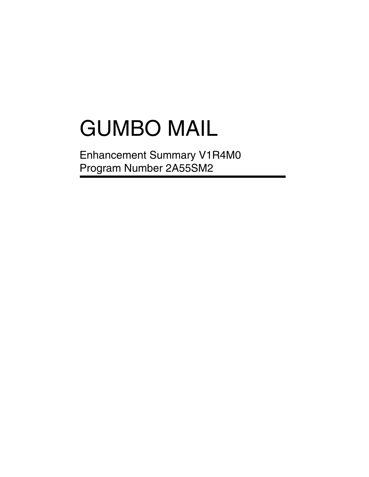# GUMBO MAIL

Enhancement Summary V1R4M0 Program Number 2A55SM2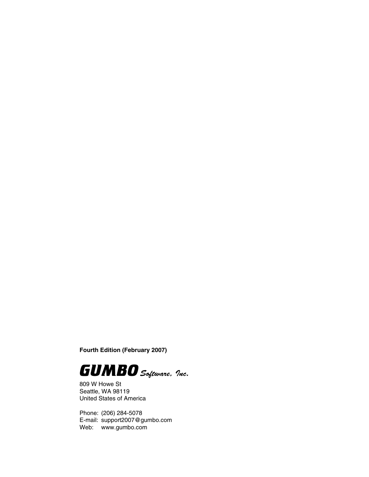**Fourth Edition (February 2007)**



809 W Howe St Seattle, WA 98119 United States of America

Phone: (206) 284-5078 E-mail: support2007@gumbo.com Web: www.gumbo.com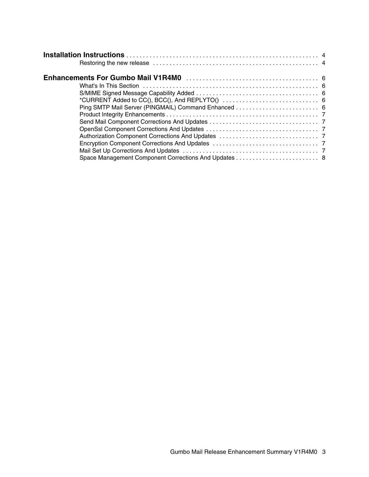| *CURRENT Added to CC(), BCC(), And REPLYTO() $\dots\dots\dots\dots\dots\dots\dots\dots\dots\dots\dots$ |  |
|--------------------------------------------------------------------------------------------------------|--|
|                                                                                                        |  |
|                                                                                                        |  |
|                                                                                                        |  |
|                                                                                                        |  |
|                                                                                                        |  |
|                                                                                                        |  |
|                                                                                                        |  |
|                                                                                                        |  |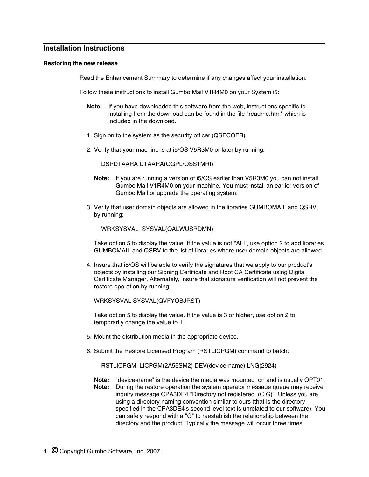# **Installation Instructions**

#### **Restoring the new release**

Read the Enhancement Summary to determine if any changes affect your installation.

Follow these instructions to install Gumbo Mail V1R4M0 on your System i5:

- **Note:** If you have downloaded this software from the web, instructions specific to installing from the download can be found in the file "readme.htm" which is included in the download.
- 1. Sign on to the system as the security officer (QSECOFR).
- 2. Verify that your machine is at i5/OS V5R3M0 or later by running:

DSPDTAARA DTAARA(QGPL/QSS1MRI)

- **Note:** If you are running a version of i5/OS earlier than V5R3M0 you can not install Gumbo Mail V1R4M0 on your machine. You must install an earlier version of Gumbo Mail or upgrade the operating system.
- 3. Verify that user domain objects are allowed in the libraries GUMBOMAIL and QSRV, by running:

WRKSYSVAL SYSVAL(QALWUSRDMN)

Take option 5 to display the value. If the value is not \*ALL, use option 2 to add libraries GUMBOMAIL and QSRV to the list of libraries where user domain objects are allowed.

4. Insure that i5/OS will be able to verify the signatures that we apply to our product's objects by installing our Signing Certificate and Root CA Certificate using Digital Certificate Manager. Alternately, insure that signature verification will not prevent the restore operation by running:

WRKSYSVAL SYSVAL(QVFYOBJRST)

Take option 5 to display the value. If the value is 3 or higher, use option 2 to temporarily change the value to 1.

- 5. Mount the distribution media in the appropriate device.
- 6. Submit the Restore Licensed Program (RSTLICPGM) command to batch:

RSTLICPGM LICPGM(2A55SM2) DEV(device-name) LNG(2924)

**Note:** "device-name" is the device the media was mounted on and is usually OPT01. **Note:** During the restore operation the system operator message queue may receive inquiry message CPA3DE4 "Directory not registered. (C G)". Unless you are using a directory naming convention similar to ours (that is the directory specified in the CPA3DE4's second level text is unrelated to our software), You can safely respond with a "G" to reestablish the relationship between the directory and the product. Typically the message will occur three times.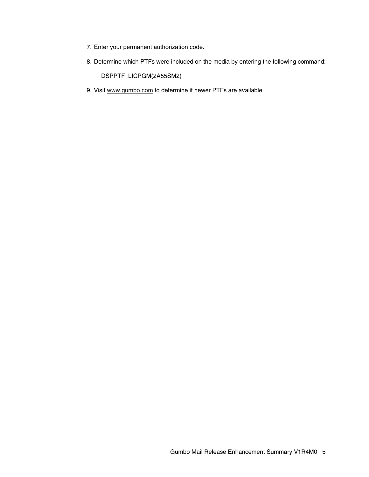- 7. Enter your permanent authorization code.
- 8. Determine which PTFs were included on the media by entering the following command:

DSPPTF LICPGM(2A55SM2)

9. Visit www.gumbo.com to determine if newer PTFs are available.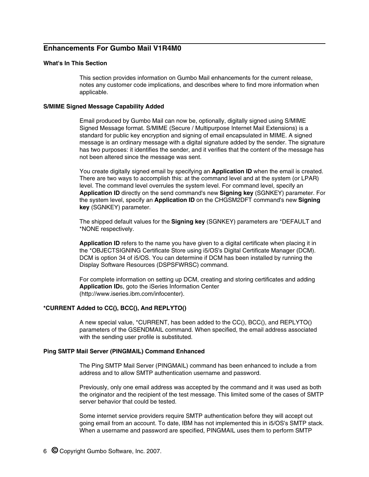# **Enhancements For Gumbo Mail V1R4M0**

## **What's In This Section**

This section provides information on Gumbo Mail enhancements for the current release, notes any customer code implications, and describes where to find more information when applicable.

### **S/MIME Signed Message Capability Added**

Email produced by Gumbo Mail can now be, optionally, digitally signed using S/MIME Signed Message format. S/MIME (Secure / Multipurpose Internet Mail Extensions) is a standard for public key encryption and signing of email encapsulated in MIME. A signed message is an ordinary message with a digital signature added by the sender. The signature has two purposes: it identifies the sender, and it verifies that the content of the message has not been altered since the message was sent.

You create digitally signed email by specifying an **Application ID** when the email is created. There are two ways to accomplish this: at the command level and at the system (or LPAR) level. The command level overrules the system level. For command level, specify an **Application ID** directly on the send command's new **Signing key** (SGNKEY) parameter. For the system level, specify an **Application ID** on the CHGSM2DFT command's new **Signing key** (SGNKEY) parameter.

The shipped default values for the **Signing key** (SGNKEY) parameters are \*DEFAULT and \*NONE respectively.

**Application ID** refers to the name you have given to a digital certificate when placing it in the \*OBJECTSIGNING Certificate Store using i5/OS's Digital Certificate Manager (DCM). DCM is option 34 of i5/OS. You can determine if DCM has been installed by running the Display Software Resources (DSPSFWRSC) command.

For complete information on setting up DCM, creating and storing certificates and adding **Application ID**s, goto the iSeries Information Center (http://www.iseries.ibm.com/infocenter).

## **\*CURRENT Added to CC(), BCC(), And REPLYTO()**

A new special value, \*CURRENT, has been added to the CC(), BCC(), and REPLYTO() parameters of the GSENDMAIL command. When specified, the email address associated with the sending user profile is substituted.

#### **Ping SMTP Mail Server (PINGMAIL) Command Enhanced**

The Ping SMTP Mail Server (PINGMAIL) command has been enhanced to include a from address and to allow SMTP authentication username and password.

Previously, only one email address was accepted by the command and it was used as both the originator and the recipient of the test message. This limited some of the cases of SMTP server behavior that could be tested.

Some internet service providers require SMTP authentication before they will accept out going email from an account. To date, IBM has not implemented this in i5/OS's SMTP stack. When a username and password are specified, PINGMAIL uses them to perform SMTP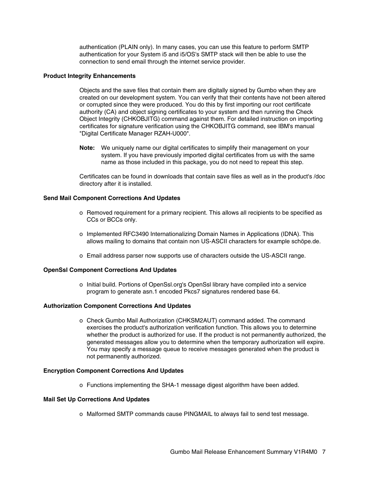authentication (PLAIN only). In many cases, you can use this feature to perform SMTP authentication for your System i5 and i5/OS's SMTP stack will then be able to use the connection to send email through the internet service provider.

### **Product Integrity Enhancements**

Objects and the save files that contain them are digitally signed by Gumbo when they are created on our development system. You can verify that their contents have not been altered or corrupted since they were produced. You do this by first importing our root certificate authority (CA) and object signing certificates to your system and then running the Check Object Integrity (CHKOBJITG) command against them. For detailed instruction on importing certificates for signature verification using the CHKOBJITG command, see IBM's manual "Digital Certificate Manager RZAH-U000".

**Note:** We uniquely name our digital certificates to simplify their management on your system. If you have previously imported digital certificates from us with the same name as those included in this package, you do not need to repeat this step.

Certificates can be found in downloads that contain save files as well as in the product's /doc directory after it is installed.

### **Send Mail Component Corrections And Updates**

- o Removed requirement for a primary recipient. This allows all recipients to be specified as CCs or BCCs only.
- o Implemented RFC3490 Internationalizing Domain Names in Applications (IDNA). This allows mailing to domains that contain non US-ASCII characters for example schöpe.de.
- o Email address parser now supports use of characters outside the US-ASCII range.

#### **OpenSsl Component Corrections And Updates**

o Initial build. Portions of OpenSsl.org's OpenSsl library have compiled into a service program to generate asn.1 encoded Pkcs7 signatures rendered base 64.

#### **Authorization Component Corrections And Updates**

o Check Gumbo Mail Authorization (CHKSM2AUT) command added. The command exercises the product's authorization verification function. This allows you to determine whether the product is authorized for use. If the product is not permanently authorized, the generated messages allow you to determine when the temporary authorization will expire. You may specify a message queue to receive messages generated when the product is not permanently authorized.

#### **Encryption Component Corrections And Updates**

o Functions implementing the SHA-1 message digest algorithm have been added.

## **Mail Set Up Corrections And Updates**

o Malformed SMTP commands cause PINGMAIL to always fail to send test message.